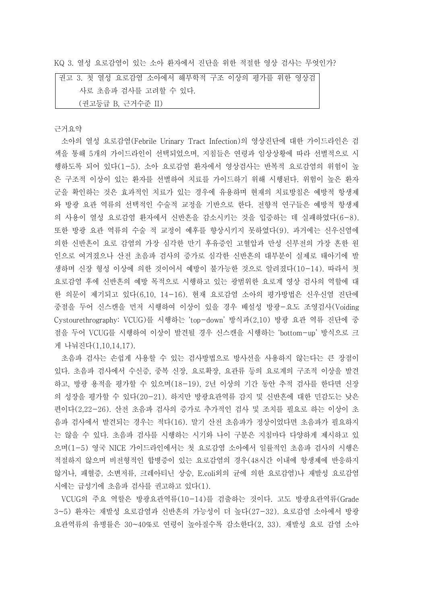KQ 3. 열성 요로감염이 있는 소아 환자에서 진단을 위한 적절한 영상 검사는 무엇인가?

권고 3. 첫 열성 요로감염 소아에서 해부학적 구조 이상의 평가를 위한 영상검 사로 초음파 검사를 고려할 수 있다.<br>(권고등급 B, 근거수준 II)

## 근거요약

소아의 열성 요로감염(Febrile Urinary Tract Infection)의 영상진단에 대한 가이드라인은 검 색을 통해 5개의 가이드라인이 선택되었으며, 지침들은 연령과 임상상황에 따라 선별적으로 시 행하도록 되어 있다(1-5). 소아 요로감염 환자에서 영상검사는 반복적 요로감염의 위험이 높 은 구조적 이상이 있는 환자를 선별하여 치료를 가이드하기 위해 시행된다. 위험이 높은 환자 군을 확인하는 것은 효과적인 치료가 있는 경우에 유용하며 현재의 치료방침은 예방적 항생제 와 방광 요관 역류의 선택적인 수술적 교정을 기반으로 한다. 전향적 연구들은 예방적 항생제 의 사용이 열성 요로감염 환자에서 신반흔을 감소시키는 것을 입증하는 데 실패하였다(6-8). 또한 방광 요관 역류의 수술 적 교정이 예후를 향상시키지 못하였다(9). 과거에는 신우신염에 의한 신반흔이 요로 감염의 가장 심각한 만기 후유증인 고혈압과 만성 신부전의 가장 흔한 원 인으로 여겨졌으나 산전 초음파 검사의 증가로 심각한 신반흔의 대부분이 실제로 태아기에 발 생하며 신장 형성 이상에 의한 것이어서 예방이 불가능한 것으로 알려졌다(10-14). 따라서 첫 요로감염 후에 신반흔의 예방 목적으로 시행하고 있는 광범위한 요로계 영상 검사의 역할에 대 한 의문이 제기되고 있다(6,10, 14-16). 현재 요로감염 소아의 평가방법은 신우신염 진단에 중점을 두어 신스캔을 먼저 시행하여 이상이 있을 경우 배설성 방광-요도 조영검사(Voiding Cystourethrography: VCUG)를 시행하는 'top-down' 방식과(2,10) 방광 요관 역류 진단에 중 점을 두어 VCUG를 시행하여 이상이 발견될 경우 신스캔을 시행하는 'bottom-up' 방식으로 크 게 나눠진다(1,10,14,17).

초음파 검사는 손쉽게 사용할 수 있는 검사방법으로 방사선을 사용하지 않는다는 큰 장점이 있다. 초음파 검사에서 수신증, 중복 신장, 요로확장, 요관류 등의 요로계의 구조적 이상을 발견 하고, 방광 용적을 평가할 수 있으며(18-19), 2년 이상의 기간 동안 추적 검사를 한다면 신장 의 성장을 평가할 수 있다(20-21). 하지만 방광요관역류 감지 및 신반흔에 대한 민감도는 낮은 편이다(2,22-26). 산전 초음파 검사의 증가로 추가적인 검사 및 조치를 필요로 하는 이상이 초 음파 검사에서 발견되는 경우는 적다(16). 말기 산전 초음파가 정상이었다면 초음파가 필요하지 는 않을 수 있다. 초음파 검사를 시행하는 시기와 나이 구분은 지침마다 다양하게 제시하고 있 으며(1-5) 영국 NICE 가이드라인에서는 첫 요로감염 소아에서 일률적인 초음파 검사의 시행은 적절하지 않으며 비전형적인 합병증이 있는 요로감염의 경우(48시간 이내에 항생제에 반응하지 않거나, 패혈증, 소변저류, 크레아티닌 상승, E.coli외의 균에 의한 요로감염)나 재발성 요로감염 시에는 급성기에 초음파 검사를 권고하고 있다(1).

VCUG의 주요 역할은 방광요관역류(10-14)를 검출하는 것이다. 고도 방광요관역류(Grade 3~5) 환자는 재발성 요로감염과 신반흔의 가능성이 더 높다(27-32). 요로감염 소아에서 방광 요관역류의 유병률은 30~40%로 연령이 높아질수록 감소한다(2, 33). 재발성 요로 감염 소아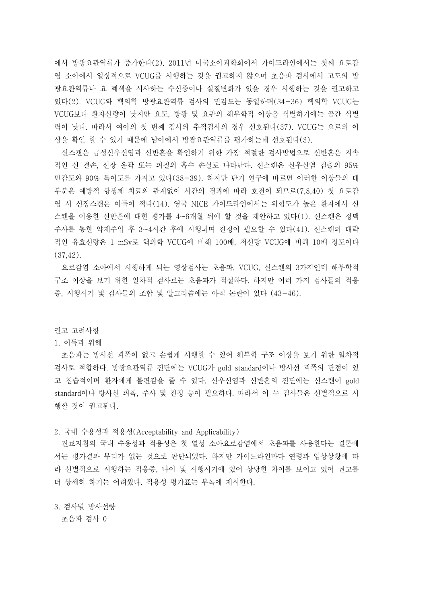에서 방광요관역류가 증가한다(2). 2011년 미국소아과학회에서 가이드라인에서는 첫째 요로감 염 소아에서 일상적으로 VCUG를 시행하는 것을 권고하지 않으며 초음파 검사에서 고도의 방 광요관역류나 요 폐색을 시사하는 수신증이나 실질변화가 있을 경우 시행하는 것을 권고하고 있다(2). VCUG와 핵의학 방광요관역류 검사의 민감도는 동일하며(34-36) 핵의학 VCUG는 VCUG보다 환자선량이 낮지만 요도, 방광 및 요관의 해부학적 이상을 식별하기에는 공간 식별 력이 낮다. 따라서 여아의 첫 번째 검사와 추적검사의 경우 선호된다(37). VCUG는 요로의 이 상을 확인 할 수 있기 때문에 남아에서 방광요관역류를 평가하는데 선호된다(3).

신스캔은 급성신우신염과 신반흔을 확인하기 위한 가장 적절한 검사방법으로 신반흔은 지속 적인 신 결손, 신장 윤곽 또는 피질의 흡수 손실로 나타난다. 신스캔은 신우신염 검출의 95% 민감도와 90% 특이도를 가지고 있다(38-39). 하지만 단기 연구에 따르면 이러한 이상들의 대 부분은 예방적 항생제 치료와 관계없이 시간의 경과에 따라 호전이 되므로(7,8,40) 첫 요로감 염 시 신장스캔은 이득이 적다(14). 영국 NICE 가이드라인에서는 위험도가 높은 환자에서 신 스캔을 이용한 신반흔에 대한 평가를 4~6개월 뒤에 할 것을 제안하고 있다(1). 신스캔은 정맥 주사를 통한 약제주입 후 3~4시간 후에 시행되며 진정이 필요할 수 있다(41). 신스캔의 대략 적인 유효선량은 1 mSv로 핵의학 VCUG에 비해 100배, 저선량 VCUG에 비해 10배 정도이다 (37,42).

요로감염 소아에서 시행하게 되는 영상검사는 초음파, VCUG, 신스캔의 3가지인데 해부학적 구조 이상을 보기 위한 일차적 검사로는 초음파가 적절하다. 하지만 여러 가지 검사들의 적응 증, 시행시기 및 검사들의 조합 및 알고리즘에는 아직 논란이 있다 (43-46).

## 권고 고려사항

## 1. 이득과 위해

초음파는 방사선 피폭이 없고 손쉽게 시행할 수 있어 해부학 구조 이상을 보기 위한 일차적 검사로 적합하다. 방광요관역류 진단에는 VCUG가 gold standard이나 방사선 피폭의 단점이 있 고 침습적이며 환자에게 불편감을 줄 수 있다. 신우신염과 신반흔의 진단에는 신스캔이 gold standard이나 방사선 피폭, 주사 및 진정 등이 필요하다. 따라서 이 두 검사들은 선별적으로 시 행할 것이 권고된다.<br>2. 국내 수용성과 적용성(Acceptability and Applicability)

진료지침의 국내 수용성과 적용성은 첫 열성 소아요로감염에서 초음파를 사용한다는 결론에 서는 평가결과 무리가 없는 것으로 판단되었다. 하지만 가이드라인마다 연령과 임상상황에 따 라 선별적으로 시행하는 적응증, 나이 및 시행시기에 있어 상당한 차이를 보이고 있어 권고를 더 상세히 하기는 어려웠다. 적용성 평가표는 부록에 제시한다.

3. 검사별 방사선량 초음파 검사 0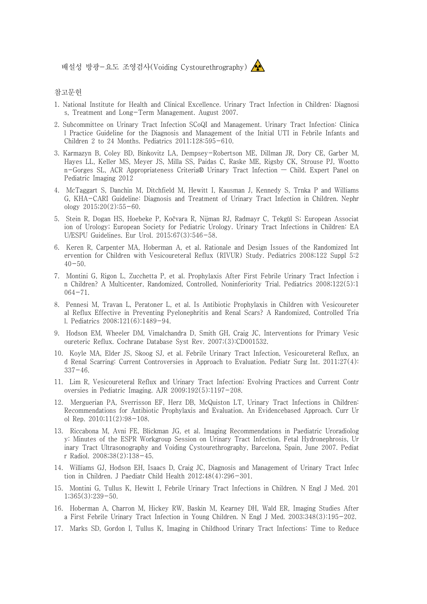배설성 방광-요도 조영검사(Voiding Cystourethrography)



참고문헌

- 1. National Institute for Health and Clinical Excellence. Urinary Tract Infection in Children: Diagnosi s, Treatment and Long-Term Management. August 2007.
- 2. Subcommittee on Urinary Tract Infection SCoQI and Management. Urinary Tract Infection: Clinica l Practice Guideline for the Diagnosis and Management of the Initial UTI in Febrile Infants and Children 2 to 24 Months. Pediatrics 2011;128:595-610.
- 3. Karmazyn B, Coley BD, Binkovitz LA, Dempsey-Robertson ME, Dillman JR, Dory CE, Garber M, Hayes LL, Keller MS, Meyer JS, Milla SS, Paidas C, Raske ME, Rigsby CK, Strouse PJ, Wootto n-Gorges SL, ACR Appropriateness Criteria® Urinary Tract Infection — Child. Expert Panel on Pediatric Imaging 2012
- 4. McTaggart S, Danchin M, Ditchfield M, Hewitt I, Kausman J, Kennedy S, Trnka P and Williams G, KHA-CARI Guideline: Diagnosis and Treatment of Urinary Tract Infection in Children. Nephr ology  $2015;20(2):55-60$ .
- 5. Stein R, Dogan HS, Hoebeke P, Kočvara R, Nijman RJ, Radmayr C, Tekgül S; European Associat ion of Urology; European Society for Pediatric Urology. Urinary Tract Infections in Children: EA U/ESPU Guidelines. Eur Urol. 2015;67(3):546-58.
- 6. Keren R, Carpenter MA, Hoberman A, et al. Rationale and Design Issues of the Randomized Int ervention for Children with Vesicoureteral Reflux (RIVUR) Study. Pediatrics 2008;122 Suppl 5:2  $40 - 50$ .
- 7. Montini G, Rigon L, Zucchetta P, et al. Prophylaxis After First Febrile Urinary Tract Infection i n Children? A Multicenter, Randomized, Controlled, Noninferiority Trial. Pediatrics 2008;122(5):1 064-71.
- 8. Pennesi M, Travan L, Peratoner L, et al. Is Antibiotic Prophylaxis in Children with Vesicoureter al Reflux Effective in Preventing Pyelonephritis and Renal Scars? A Randomized, Controlled Tria l. Pediatrics 2008;121(6):1489-94.
- 9. Hodson EM, Wheeler DM, Vimalchandra D, Smith GH, Craig JC, Interventions for Primary Vesic oureteric Reflux. Cochrane Database Syst Rev. 2007;(3):CD001532.
- 10. Koyle MA, Elder JS, Skoog SJ, et al. Febrile Urinary Tract Infection, Vesicoureteral Reflux, an d Renal Scarring: Current Controversies in Approach to Evaluation. Pediatr Surg Int. 2011;27(4):  $337 - 46$ .
- 11. Lim R, Vesicoureteral Reflux and Urinary Tract Infection: Evolving Practices and Current Contr oversies in Pediatric Imaging. AJR 2009;192(5):1197-208.
- 12. Merguerian PA, Sverrisson EF, Herz DB, McQuiston LT, Urinary Tract Infections in Children: Recommendations for Antibiotic Prophylaxis and Evaluation. An Evidencebased Approach. Curr Ur ol Rep. 2010;11(2):98-108.
- 13. Riccabona M, Avni FE, Blickman JG, et al. Imaging Recommendations in Paediatric Uroradiolog y: Minutes of the ESPR Workgroup Session on Urinary Tract Infection, Fetal Hydronephrosis, Ur inary Tract Ultrasonography and Voiding Cystourethrography, Barcelona, Spain, June 2007. Pediat r Radiol. 2008;38(2):138-45.
- 14. Williams GJ, Hodson EH, Isaacs D, Craig JC, Diagnosis and Management of Urinary Tract Infec tion in Children. J Paediatr Child Health 2012;48(4):296-301.
- 15. Montini G, Tullus K, Hewitt I, Febrile Urinary Tract Infections in Children. N Engl J Med. 201 1;365(3):239-50.
- 16. Hoberman A, Charron M, Hickey RW, Baskin M, Kearney DH, Wald ER, Imaging Studies After a First Febrile Urinary Tract Infection in Young Children. N Engl J Med. 2003;348(3):195-202.
- 17. Marks SD, Gordon I, Tullus K, Imaging in Childhood Urinary Tract Infections: Time to Reduce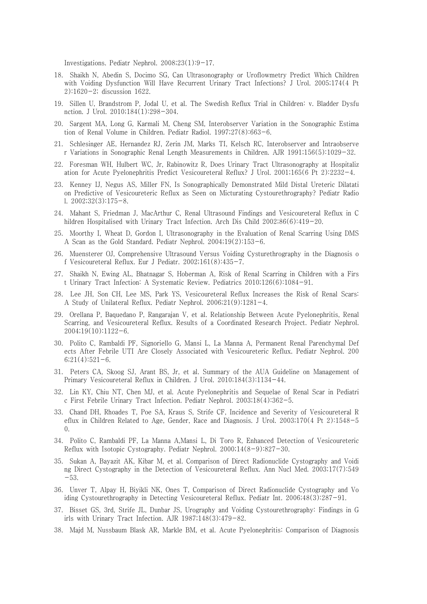Investigations. Pediatr Nephrol. 2008;23(1):9-17.

- 18. Shaikh N, Abedin S, Docimo SG, Can Ultrasonography or Uroflowmetry Predict Which Children with Voiding Dysfunction Will Have Recurrent Urinary Tract Infections? J Urol. 2005;174(4 Pt 2):1620-2; discussion 1622.
- 19. Sillen U, Brandstrom P, Jodal U, et al. The Swedish Reflux Trial in Children: v. Bladder Dysfu nction. J Urol. 2010;184(1):298-304.
- 20. Sargent MA, Long G, Karmali M, Cheng SM, Interobserver Variation in the Sonographic Estima tion of Renal Volume in Children. Pediatr Radiol. 1997;27(8):663-6.
- 21. Schlesinger AE, Hernandez RJ, Zerin JM, Marks TI, Kelsch RC, Interobserver and Intraobserve r Variations in Sonographic Renal Length Measurements in Children. AJR 1991;156(5):1029-32.
- 22. Foresman WH, Hulbert WC, Jr, Rabinowitz R, Does Urinary Tract Ultrasonography at Hospitaliz ation for Acute Pyelonephritis Predict Vesicoureteral Reflux? J Urol. 2001;165(6 Pt 2):2232-4.
- 23. Kenney IJ, Negus AS, Miller FN, Is Sonographically Demonstrated Mild Distal Ureteric Dilatati on Predictive of Vesicoureteric Reflux as Seen on Micturating Cystourethrography? Pediatr Radio l. 2002;32(3):175-8.
- 24. Mahant S, Friedman J, MacArthur C, Renal Ultrasound Findings and Vesicoureteral Reflux in C hildren Hospitalised with Urinary Tract Infection. Arch Dis Child 2002;86(6):419-20.
- 25. Moorthy I, Wheat D, Gordon I, Ultrasonography in the Evaluation of Renal Scarring Using DMS A Scan as the Gold Standard. Pediatr Nephrol. 2004;19(2):153-6.
- 26. Muensterer OJ, Comprehensive Ultrasound Versus Voiding Cysturethrography in the Diagnosis o f Vesicoureteral Reflux. Eur J Pediatr. 2002;161(8):435-7.
- 27. Shaikh N, Ewing AL, Bhatnagar S, Hoberman A, Risk of Renal Scarring in Children with a Firs t Urinary Tract Infection: A Systematic Review. Pediatrics 2010;126(6):1084-91.
- 28. Lee JH, Son CH, Lee MS, Park YS, Vesicoureteral Reflux Increases the Risk of Renal Scars: A Study of Unilateral Reflux. Pediatr Nephrol. 2006;21(9):1281-4.
- 29. Orellana P, Baquedano P, Rangarajan V, et al. Relationship Between Acute Pyelonephritis, Renal Scarring, and Vesicoureteral Reflux. Results of a Coordinated Research Project. Pediatr Nephrol. 2004;19(10):1122-6.
- 30. Polito C, Rambaldi PF, Signoriello G, Mansi L, La Manna A, Permanent Renal Parenchymal Def ects After Febrile UTI Are Closely Associated with Vesicoureteric Reflux. Pediatr Nephrol. 200  $6;21(4):521-6.$
- 31. Peters CA, Skoog SJ, Arant BS, Jr, et al. Summary of the AUA Guideline on Management of Primary Vesicoureteral Reflux in Children. J Urol. 2010;184(3):1134-44.
- 32. Lin KY, Chiu NT, Chen MJ, et al. Acute Pyelonephritis and Sequelae of Renal Scar in Pediatri c First Febrile Urinary Tract Infection. Pediatr Nephrol. 2003;18(4):362-5.
- 33. Chand DH, Rhoades T, Poe SA, Kraus S, Strife CF, Incidence and Severity of Vesicoureteral R eflux in Children Related to Age, Gender, Race and Diagnosis. J Urol. 2003;170(4 Pt 2):1548-5 0.
- 34. Polito C, Rambaldi PF, La Manna A,Mansi L, Di Toro R, Enhanced Detection of Vesicoureteric Reflux with Isotopic Cystography. Pediatr Nephrol. 2000;14(8-9):827-30.
- 35. Sukan A, Bayazit AK, Kibar M, et al. Comparison of Direct Radionuclide Cystography and Voidi ng Direct Cystography in the Detection of Vesicoureteral Reflux. Ann Nucl Med. 2003;17(7):549  $-53.$
- 36. Unver T, Alpay H, Biyikli NK, Ones T, Comparison of Direct Radionuclide Cystography and Vo iding Cystourethrography in Detecting Vesicoureteral Reflux. Pediatr Int. 2006;48(3):287-91.
- 37. Bisset GS, 3rd, Strife JL, Dunbar JS, Urography and Voiding Cystourethrography: Findings in G irls with Urinary Tract Infection. AJR 1987;148(3):479-82.
- 38. Majd M, Nussbaum Blask AR, Markle BM, et al. Acute Pyelonephritis: Comparison of Diagnosis